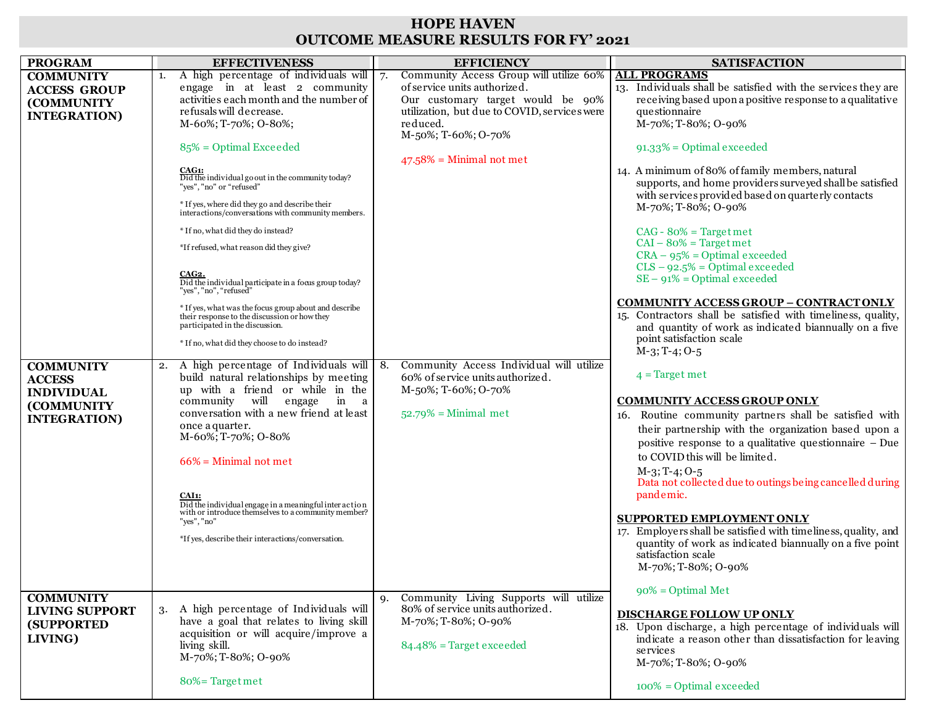## **HOPE HAVEN OUTCOME MEASURE RESULTS FOR FY' 2021**

| A high percentage of individuals will<br>Community Access Group will utilize 60%<br><b>ALL PROGRAMS</b><br><b>COMMUNITY</b><br>1.<br>of service units authorized.<br>engage in at least 2 community<br>13. Individuals shall be satisfied with the services they are<br><b>ACCESS GROUP</b><br>activities each month and the number of<br>receiving based upon a positive response to a qualitative<br>Our customary target would be 90%<br><b>(COMMUNITY)</b><br>refusals will decrease.<br>utilization, but due to COVID, services were<br>questionnaire<br><b>INTEGRATION</b> )<br>M-60%; T-70%; O-80%;<br>reduced.<br>M-70%; T-80%; O-90%<br>M-50%; T-60%; O-70%<br>$85\%$ = Optimal Exceeded<br>$91.33\%$ = Optimal exceeded<br>$47.58\%$ = Minimal not met<br>14. A minimum of 80% of family members, natural<br>CAG1:<br>Did the individual go out in the community today?<br>supports, and home providers surveyed shall be satisfied<br>"yes", "no" or "refused"<br>with services provided based on quarterly contacts<br>* If yes, where did they go and describe their<br>$M-70\%;$ T-80%; O-90%<br>interactions/conversations with community members.<br>* If no, what did they do instead?<br>$CAG - 80% = Targetmet$<br>$CAI - 80% = Targetmet$<br>*If refused, what reason did they give?<br>$CRA - 95% = Optimal exceeded$<br>$CLS - 92.5\% = Optimal exceeded$<br>CAG2.<br>$SE - 91\% = Optimal exceed$<br>Did the individual participate in a focus group today?<br>"yes", "no", "refused"<br><b>COMMUNITY ACCESS GROUP - CONTRACT ONLY</b><br>$^\ast$ If yes, what was the focus group about and describe<br>15. Contractors shall be satisfied with timeliness, quality,<br>their response to the discussion or how they<br>participated in the discussion.<br>and quantity of work as indicated biannually on a five<br>point satisfaction scale<br>* If no, what did they choose to do instead?<br>$M-3$ ; T-4; O-5<br>Community Access Individual will utilize<br>A high percentage of Individuals will   8.<br><b>COMMUNITY</b><br>2.<br>$4$ = Target met<br>build natural relationships by meeting<br>60% of service units authorized.<br><b>ACCESS</b><br>up with a friend or while in the<br>M-50%; T-60%; O-70%<br><b>INDIVIDUAL</b><br>community will engage<br>in a<br><b>COMMUNITY ACCESS GROUP ONLY</b><br>(COMMUNITY<br>conversation with a new friend at least<br>$52.79\%$ = Minimal met<br>16. Routine community partners shall be satisfied with<br><b>INTEGRATION</b> )<br>once a quarter.<br>their partnership with the organization based upon a<br>M-60%; T-70%; O-80%<br>positive response to a qualitative questionnaire - Due<br>to COVID this will be limited.<br>$66\%$ = Minimal not met<br>$M-3$ ; T-4; O-5<br>Data not collected due to outings being cancelled during<br>pandemic.<br>CAI1:<br>Did the individual engage in a meaningful inter action<br>with or introduce themselves to a community member?<br><b>SUPPORTED EMPLOYMENT ONLY</b><br>"yes", "no"<br>17. Employers shall be satisfied with timeliness, quality, and<br>*If yes, describe their interactions/conversation.<br>quantity of work as indicated biannually on a five point<br>satisfaction scale<br>M-70%; T-80%; O-90%<br>$90\%$ = Optimal Met<br>Community Living Supports will utilize<br><b>COMMUNITY</b><br>9.<br>80% of service units authorized.<br>A high percentage of Individuals will<br>3.<br><b>LIVING SUPPORT</b><br>DISCHARGE FOLLOW UP ONLY<br>have a goal that relates to living skill<br>M-70%; T-80%; O-90%<br><b>(SUPPORTED)</b><br>18. Upon discharge, a high percentage of individuals will<br>acquisition or will acquire/improve a<br>LIVING)<br>indicate a reason other than dissatisfaction for leaving<br>$84.48\%$ = Target exceeded<br>living skill.<br>services<br>M-70%; T-80%; O-90%<br>M-70%; T-80%; O-90% | <b>PROGRAM</b> | <b>EFFECTIVENESS</b> | <b>EFFICIENCY</b> | <b>SATISFACTION</b>        |
|------------------------------------------------------------------------------------------------------------------------------------------------------------------------------------------------------------------------------------------------------------------------------------------------------------------------------------------------------------------------------------------------------------------------------------------------------------------------------------------------------------------------------------------------------------------------------------------------------------------------------------------------------------------------------------------------------------------------------------------------------------------------------------------------------------------------------------------------------------------------------------------------------------------------------------------------------------------------------------------------------------------------------------------------------------------------------------------------------------------------------------------------------------------------------------------------------------------------------------------------------------------------------------------------------------------------------------------------------------------------------------------------------------------------------------------------------------------------------------------------------------------------------------------------------------------------------------------------------------------------------------------------------------------------------------------------------------------------------------------------------------------------------------------------------------------------------------------------------------------------------------------------------------------------------------------------------------------------------------------------------------------------------------------------------------------------------------------------------------------------------------------------------------------------------------------------------------------------------------------------------------------------------------------------------------------------------------------------------------------------------------------------------------------------------------------------------------------------------------------------------------------------------------------------------------------------------------------------------------------------------------------------------------------------------------------------------------------------------------------------------------------------------------------------------------------------------------------------------------------------------------------------------------------------------------------------------------------------------------------------------------------------------------------------------------------------------------------------------------------------------------------------------------------------------------------------------------------------------------------------------------------------------------------------------------------------------------------------------------------------------------------------------------------------------------------------------------------------------------------------------------------------------------------------------------------------------------------------------------------------------------------------------------------------------------------------------------------------------------------------------------------------------------------------------------------------------------------------------------------------|----------------|----------------------|-------------------|----------------------------|
|                                                                                                                                                                                                                                                                                                                                                                                                                                                                                                                                                                                                                                                                                                                                                                                                                                                                                                                                                                                                                                                                                                                                                                                                                                                                                                                                                                                                                                                                                                                                                                                                                                                                                                                                                                                                                                                                                                                                                                                                                                                                                                                                                                                                                                                                                                                                                                                                                                                                                                                                                                                                                                                                                                                                                                                                                                                                                                                                                                                                                                                                                                                                                                                                                                                                                                                                                                                                                                                                                                                                                                                                                                                                                                                                                                                                                                                                        |                |                      |                   |                            |
|                                                                                                                                                                                                                                                                                                                                                                                                                                                                                                                                                                                                                                                                                                                                                                                                                                                                                                                                                                                                                                                                                                                                                                                                                                                                                                                                                                                                                                                                                                                                                                                                                                                                                                                                                                                                                                                                                                                                                                                                                                                                                                                                                                                                                                                                                                                                                                                                                                                                                                                                                                                                                                                                                                                                                                                                                                                                                                                                                                                                                                                                                                                                                                                                                                                                                                                                                                                                                                                                                                                                                                                                                                                                                                                                                                                                                                                                        |                |                      |                   |                            |
|                                                                                                                                                                                                                                                                                                                                                                                                                                                                                                                                                                                                                                                                                                                                                                                                                                                                                                                                                                                                                                                                                                                                                                                                                                                                                                                                                                                                                                                                                                                                                                                                                                                                                                                                                                                                                                                                                                                                                                                                                                                                                                                                                                                                                                                                                                                                                                                                                                                                                                                                                                                                                                                                                                                                                                                                                                                                                                                                                                                                                                                                                                                                                                                                                                                                                                                                                                                                                                                                                                                                                                                                                                                                                                                                                                                                                                                                        |                |                      |                   |                            |
|                                                                                                                                                                                                                                                                                                                                                                                                                                                                                                                                                                                                                                                                                                                                                                                                                                                                                                                                                                                                                                                                                                                                                                                                                                                                                                                                                                                                                                                                                                                                                                                                                                                                                                                                                                                                                                                                                                                                                                                                                                                                                                                                                                                                                                                                                                                                                                                                                                                                                                                                                                                                                                                                                                                                                                                                                                                                                                                                                                                                                                                                                                                                                                                                                                                                                                                                                                                                                                                                                                                                                                                                                                                                                                                                                                                                                                                                        |                |                      |                   |                            |
|                                                                                                                                                                                                                                                                                                                                                                                                                                                                                                                                                                                                                                                                                                                                                                                                                                                                                                                                                                                                                                                                                                                                                                                                                                                                                                                                                                                                                                                                                                                                                                                                                                                                                                                                                                                                                                                                                                                                                                                                                                                                                                                                                                                                                                                                                                                                                                                                                                                                                                                                                                                                                                                                                                                                                                                                                                                                                                                                                                                                                                                                                                                                                                                                                                                                                                                                                                                                                                                                                                                                                                                                                                                                                                                                                                                                                                                                        |                |                      |                   |                            |
|                                                                                                                                                                                                                                                                                                                                                                                                                                                                                                                                                                                                                                                                                                                                                                                                                                                                                                                                                                                                                                                                                                                                                                                                                                                                                                                                                                                                                                                                                                                                                                                                                                                                                                                                                                                                                                                                                                                                                                                                                                                                                                                                                                                                                                                                                                                                                                                                                                                                                                                                                                                                                                                                                                                                                                                                                                                                                                                                                                                                                                                                                                                                                                                                                                                                                                                                                                                                                                                                                                                                                                                                                                                                                                                                                                                                                                                                        |                |                      |                   |                            |
|                                                                                                                                                                                                                                                                                                                                                                                                                                                                                                                                                                                                                                                                                                                                                                                                                                                                                                                                                                                                                                                                                                                                                                                                                                                                                                                                                                                                                                                                                                                                                                                                                                                                                                                                                                                                                                                                                                                                                                                                                                                                                                                                                                                                                                                                                                                                                                                                                                                                                                                                                                                                                                                                                                                                                                                                                                                                                                                                                                                                                                                                                                                                                                                                                                                                                                                                                                                                                                                                                                                                                                                                                                                                                                                                                                                                                                                                        |                |                      |                   |                            |
|                                                                                                                                                                                                                                                                                                                                                                                                                                                                                                                                                                                                                                                                                                                                                                                                                                                                                                                                                                                                                                                                                                                                                                                                                                                                                                                                                                                                                                                                                                                                                                                                                                                                                                                                                                                                                                                                                                                                                                                                                                                                                                                                                                                                                                                                                                                                                                                                                                                                                                                                                                                                                                                                                                                                                                                                                                                                                                                                                                                                                                                                                                                                                                                                                                                                                                                                                                                                                                                                                                                                                                                                                                                                                                                                                                                                                                                                        |                |                      |                   |                            |
|                                                                                                                                                                                                                                                                                                                                                                                                                                                                                                                                                                                                                                                                                                                                                                                                                                                                                                                                                                                                                                                                                                                                                                                                                                                                                                                                                                                                                                                                                                                                                                                                                                                                                                                                                                                                                                                                                                                                                                                                                                                                                                                                                                                                                                                                                                                                                                                                                                                                                                                                                                                                                                                                                                                                                                                                                                                                                                                                                                                                                                                                                                                                                                                                                                                                                                                                                                                                                                                                                                                                                                                                                                                                                                                                                                                                                                                                        |                |                      |                   |                            |
|                                                                                                                                                                                                                                                                                                                                                                                                                                                                                                                                                                                                                                                                                                                                                                                                                                                                                                                                                                                                                                                                                                                                                                                                                                                                                                                                                                                                                                                                                                                                                                                                                                                                                                                                                                                                                                                                                                                                                                                                                                                                                                                                                                                                                                                                                                                                                                                                                                                                                                                                                                                                                                                                                                                                                                                                                                                                                                                                                                                                                                                                                                                                                                                                                                                                                                                                                                                                                                                                                                                                                                                                                                                                                                                                                                                                                                                                        |                |                      |                   |                            |
|                                                                                                                                                                                                                                                                                                                                                                                                                                                                                                                                                                                                                                                                                                                                                                                                                                                                                                                                                                                                                                                                                                                                                                                                                                                                                                                                                                                                                                                                                                                                                                                                                                                                                                                                                                                                                                                                                                                                                                                                                                                                                                                                                                                                                                                                                                                                                                                                                                                                                                                                                                                                                                                                                                                                                                                                                                                                                                                                                                                                                                                                                                                                                                                                                                                                                                                                                                                                                                                                                                                                                                                                                                                                                                                                                                                                                                                                        |                |                      |                   |                            |
|                                                                                                                                                                                                                                                                                                                                                                                                                                                                                                                                                                                                                                                                                                                                                                                                                                                                                                                                                                                                                                                                                                                                                                                                                                                                                                                                                                                                                                                                                                                                                                                                                                                                                                                                                                                                                                                                                                                                                                                                                                                                                                                                                                                                                                                                                                                                                                                                                                                                                                                                                                                                                                                                                                                                                                                                                                                                                                                                                                                                                                                                                                                                                                                                                                                                                                                                                                                                                                                                                                                                                                                                                                                                                                                                                                                                                                                                        |                |                      |                   |                            |
|                                                                                                                                                                                                                                                                                                                                                                                                                                                                                                                                                                                                                                                                                                                                                                                                                                                                                                                                                                                                                                                                                                                                                                                                                                                                                                                                                                                                                                                                                                                                                                                                                                                                                                                                                                                                                                                                                                                                                                                                                                                                                                                                                                                                                                                                                                                                                                                                                                                                                                                                                                                                                                                                                                                                                                                                                                                                                                                                                                                                                                                                                                                                                                                                                                                                                                                                                                                                                                                                                                                                                                                                                                                                                                                                                                                                                                                                        |                |                      |                   |                            |
|                                                                                                                                                                                                                                                                                                                                                                                                                                                                                                                                                                                                                                                                                                                                                                                                                                                                                                                                                                                                                                                                                                                                                                                                                                                                                                                                                                                                                                                                                                                                                                                                                                                                                                                                                                                                                                                                                                                                                                                                                                                                                                                                                                                                                                                                                                                                                                                                                                                                                                                                                                                                                                                                                                                                                                                                                                                                                                                                                                                                                                                                                                                                                                                                                                                                                                                                                                                                                                                                                                                                                                                                                                                                                                                                                                                                                                                                        |                |                      |                   |                            |
|                                                                                                                                                                                                                                                                                                                                                                                                                                                                                                                                                                                                                                                                                                                                                                                                                                                                                                                                                                                                                                                                                                                                                                                                                                                                                                                                                                                                                                                                                                                                                                                                                                                                                                                                                                                                                                                                                                                                                                                                                                                                                                                                                                                                                                                                                                                                                                                                                                                                                                                                                                                                                                                                                                                                                                                                                                                                                                                                                                                                                                                                                                                                                                                                                                                                                                                                                                                                                                                                                                                                                                                                                                                                                                                                                                                                                                                                        |                |                      |                   |                            |
|                                                                                                                                                                                                                                                                                                                                                                                                                                                                                                                                                                                                                                                                                                                                                                                                                                                                                                                                                                                                                                                                                                                                                                                                                                                                                                                                                                                                                                                                                                                                                                                                                                                                                                                                                                                                                                                                                                                                                                                                                                                                                                                                                                                                                                                                                                                                                                                                                                                                                                                                                                                                                                                                                                                                                                                                                                                                                                                                                                                                                                                                                                                                                                                                                                                                                                                                                                                                                                                                                                                                                                                                                                                                                                                                                                                                                                                                        |                |                      |                   |                            |
|                                                                                                                                                                                                                                                                                                                                                                                                                                                                                                                                                                                                                                                                                                                                                                                                                                                                                                                                                                                                                                                                                                                                                                                                                                                                                                                                                                                                                                                                                                                                                                                                                                                                                                                                                                                                                                                                                                                                                                                                                                                                                                                                                                                                                                                                                                                                                                                                                                                                                                                                                                                                                                                                                                                                                                                                                                                                                                                                                                                                                                                                                                                                                                                                                                                                                                                                                                                                                                                                                                                                                                                                                                                                                                                                                                                                                                                                        |                |                      |                   |                            |
|                                                                                                                                                                                                                                                                                                                                                                                                                                                                                                                                                                                                                                                                                                                                                                                                                                                                                                                                                                                                                                                                                                                                                                                                                                                                                                                                                                                                                                                                                                                                                                                                                                                                                                                                                                                                                                                                                                                                                                                                                                                                                                                                                                                                                                                                                                                                                                                                                                                                                                                                                                                                                                                                                                                                                                                                                                                                                                                                                                                                                                                                                                                                                                                                                                                                                                                                                                                                                                                                                                                                                                                                                                                                                                                                                                                                                                                                        |                |                      |                   |                            |
|                                                                                                                                                                                                                                                                                                                                                                                                                                                                                                                                                                                                                                                                                                                                                                                                                                                                                                                                                                                                                                                                                                                                                                                                                                                                                                                                                                                                                                                                                                                                                                                                                                                                                                                                                                                                                                                                                                                                                                                                                                                                                                                                                                                                                                                                                                                                                                                                                                                                                                                                                                                                                                                                                                                                                                                                                                                                                                                                                                                                                                                                                                                                                                                                                                                                                                                                                                                                                                                                                                                                                                                                                                                                                                                                                                                                                                                                        |                |                      |                   |                            |
|                                                                                                                                                                                                                                                                                                                                                                                                                                                                                                                                                                                                                                                                                                                                                                                                                                                                                                                                                                                                                                                                                                                                                                                                                                                                                                                                                                                                                                                                                                                                                                                                                                                                                                                                                                                                                                                                                                                                                                                                                                                                                                                                                                                                                                                                                                                                                                                                                                                                                                                                                                                                                                                                                                                                                                                                                                                                                                                                                                                                                                                                                                                                                                                                                                                                                                                                                                                                                                                                                                                                                                                                                                                                                                                                                                                                                                                                        |                |                      |                   |                            |
|                                                                                                                                                                                                                                                                                                                                                                                                                                                                                                                                                                                                                                                                                                                                                                                                                                                                                                                                                                                                                                                                                                                                                                                                                                                                                                                                                                                                                                                                                                                                                                                                                                                                                                                                                                                                                                                                                                                                                                                                                                                                                                                                                                                                                                                                                                                                                                                                                                                                                                                                                                                                                                                                                                                                                                                                                                                                                                                                                                                                                                                                                                                                                                                                                                                                                                                                                                                                                                                                                                                                                                                                                                                                                                                                                                                                                                                                        |                |                      |                   |                            |
|                                                                                                                                                                                                                                                                                                                                                                                                                                                                                                                                                                                                                                                                                                                                                                                                                                                                                                                                                                                                                                                                                                                                                                                                                                                                                                                                                                                                                                                                                                                                                                                                                                                                                                                                                                                                                                                                                                                                                                                                                                                                                                                                                                                                                                                                                                                                                                                                                                                                                                                                                                                                                                                                                                                                                                                                                                                                                                                                                                                                                                                                                                                                                                                                                                                                                                                                                                                                                                                                                                                                                                                                                                                                                                                                                                                                                                                                        |                |                      |                   |                            |
|                                                                                                                                                                                                                                                                                                                                                                                                                                                                                                                                                                                                                                                                                                                                                                                                                                                                                                                                                                                                                                                                                                                                                                                                                                                                                                                                                                                                                                                                                                                                                                                                                                                                                                                                                                                                                                                                                                                                                                                                                                                                                                                                                                                                                                                                                                                                                                                                                                                                                                                                                                                                                                                                                                                                                                                                                                                                                                                                                                                                                                                                                                                                                                                                                                                                                                                                                                                                                                                                                                                                                                                                                                                                                                                                                                                                                                                                        |                |                      |                   |                            |
|                                                                                                                                                                                                                                                                                                                                                                                                                                                                                                                                                                                                                                                                                                                                                                                                                                                                                                                                                                                                                                                                                                                                                                                                                                                                                                                                                                                                                                                                                                                                                                                                                                                                                                                                                                                                                                                                                                                                                                                                                                                                                                                                                                                                                                                                                                                                                                                                                                                                                                                                                                                                                                                                                                                                                                                                                                                                                                                                                                                                                                                                                                                                                                                                                                                                                                                                                                                                                                                                                                                                                                                                                                                                                                                                                                                                                                                                        |                |                      |                   |                            |
|                                                                                                                                                                                                                                                                                                                                                                                                                                                                                                                                                                                                                                                                                                                                                                                                                                                                                                                                                                                                                                                                                                                                                                                                                                                                                                                                                                                                                                                                                                                                                                                                                                                                                                                                                                                                                                                                                                                                                                                                                                                                                                                                                                                                                                                                                                                                                                                                                                                                                                                                                                                                                                                                                                                                                                                                                                                                                                                                                                                                                                                                                                                                                                                                                                                                                                                                                                                                                                                                                                                                                                                                                                                                                                                                                                                                                                                                        |                |                      |                   |                            |
|                                                                                                                                                                                                                                                                                                                                                                                                                                                                                                                                                                                                                                                                                                                                                                                                                                                                                                                                                                                                                                                                                                                                                                                                                                                                                                                                                                                                                                                                                                                                                                                                                                                                                                                                                                                                                                                                                                                                                                                                                                                                                                                                                                                                                                                                                                                                                                                                                                                                                                                                                                                                                                                                                                                                                                                                                                                                                                                                                                                                                                                                                                                                                                                                                                                                                                                                                                                                                                                                                                                                                                                                                                                                                                                                                                                                                                                                        |                |                      |                   |                            |
|                                                                                                                                                                                                                                                                                                                                                                                                                                                                                                                                                                                                                                                                                                                                                                                                                                                                                                                                                                                                                                                                                                                                                                                                                                                                                                                                                                                                                                                                                                                                                                                                                                                                                                                                                                                                                                                                                                                                                                                                                                                                                                                                                                                                                                                                                                                                                                                                                                                                                                                                                                                                                                                                                                                                                                                                                                                                                                                                                                                                                                                                                                                                                                                                                                                                                                                                                                                                                                                                                                                                                                                                                                                                                                                                                                                                                                                                        |                |                      |                   |                            |
|                                                                                                                                                                                                                                                                                                                                                                                                                                                                                                                                                                                                                                                                                                                                                                                                                                                                                                                                                                                                                                                                                                                                                                                                                                                                                                                                                                                                                                                                                                                                                                                                                                                                                                                                                                                                                                                                                                                                                                                                                                                                                                                                                                                                                                                                                                                                                                                                                                                                                                                                                                                                                                                                                                                                                                                                                                                                                                                                                                                                                                                                                                                                                                                                                                                                                                                                                                                                                                                                                                                                                                                                                                                                                                                                                                                                                                                                        |                |                      |                   |                            |
|                                                                                                                                                                                                                                                                                                                                                                                                                                                                                                                                                                                                                                                                                                                                                                                                                                                                                                                                                                                                                                                                                                                                                                                                                                                                                                                                                                                                                                                                                                                                                                                                                                                                                                                                                                                                                                                                                                                                                                                                                                                                                                                                                                                                                                                                                                                                                                                                                                                                                                                                                                                                                                                                                                                                                                                                                                                                                                                                                                                                                                                                                                                                                                                                                                                                                                                                                                                                                                                                                                                                                                                                                                                                                                                                                                                                                                                                        |                |                      |                   |                            |
|                                                                                                                                                                                                                                                                                                                                                                                                                                                                                                                                                                                                                                                                                                                                                                                                                                                                                                                                                                                                                                                                                                                                                                                                                                                                                                                                                                                                                                                                                                                                                                                                                                                                                                                                                                                                                                                                                                                                                                                                                                                                                                                                                                                                                                                                                                                                                                                                                                                                                                                                                                                                                                                                                                                                                                                                                                                                                                                                                                                                                                                                                                                                                                                                                                                                                                                                                                                                                                                                                                                                                                                                                                                                                                                                                                                                                                                                        |                |                      |                   |                            |
|                                                                                                                                                                                                                                                                                                                                                                                                                                                                                                                                                                                                                                                                                                                                                                                                                                                                                                                                                                                                                                                                                                                                                                                                                                                                                                                                                                                                                                                                                                                                                                                                                                                                                                                                                                                                                                                                                                                                                                                                                                                                                                                                                                                                                                                                                                                                                                                                                                                                                                                                                                                                                                                                                                                                                                                                                                                                                                                                                                                                                                                                                                                                                                                                                                                                                                                                                                                                                                                                                                                                                                                                                                                                                                                                                                                                                                                                        |                |                      |                   |                            |
|                                                                                                                                                                                                                                                                                                                                                                                                                                                                                                                                                                                                                                                                                                                                                                                                                                                                                                                                                                                                                                                                                                                                                                                                                                                                                                                                                                                                                                                                                                                                                                                                                                                                                                                                                                                                                                                                                                                                                                                                                                                                                                                                                                                                                                                                                                                                                                                                                                                                                                                                                                                                                                                                                                                                                                                                                                                                                                                                                                                                                                                                                                                                                                                                                                                                                                                                                                                                                                                                                                                                                                                                                                                                                                                                                                                                                                                                        |                |                      |                   |                            |
|                                                                                                                                                                                                                                                                                                                                                                                                                                                                                                                                                                                                                                                                                                                                                                                                                                                                                                                                                                                                                                                                                                                                                                                                                                                                                                                                                                                                                                                                                                                                                                                                                                                                                                                                                                                                                                                                                                                                                                                                                                                                                                                                                                                                                                                                                                                                                                                                                                                                                                                                                                                                                                                                                                                                                                                                                                                                                                                                                                                                                                                                                                                                                                                                                                                                                                                                                                                                                                                                                                                                                                                                                                                                                                                                                                                                                                                                        |                |                      |                   |                            |
|                                                                                                                                                                                                                                                                                                                                                                                                                                                                                                                                                                                                                                                                                                                                                                                                                                                                                                                                                                                                                                                                                                                                                                                                                                                                                                                                                                                                                                                                                                                                                                                                                                                                                                                                                                                                                                                                                                                                                                                                                                                                                                                                                                                                                                                                                                                                                                                                                                                                                                                                                                                                                                                                                                                                                                                                                                                                                                                                                                                                                                                                                                                                                                                                                                                                                                                                                                                                                                                                                                                                                                                                                                                                                                                                                                                                                                                                        |                |                      |                   |                            |
|                                                                                                                                                                                                                                                                                                                                                                                                                                                                                                                                                                                                                                                                                                                                                                                                                                                                                                                                                                                                                                                                                                                                                                                                                                                                                                                                                                                                                                                                                                                                                                                                                                                                                                                                                                                                                                                                                                                                                                                                                                                                                                                                                                                                                                                                                                                                                                                                                                                                                                                                                                                                                                                                                                                                                                                                                                                                                                                                                                                                                                                                                                                                                                                                                                                                                                                                                                                                                                                                                                                                                                                                                                                                                                                                                                                                                                                                        |                |                      |                   |                            |
|                                                                                                                                                                                                                                                                                                                                                                                                                                                                                                                                                                                                                                                                                                                                                                                                                                                                                                                                                                                                                                                                                                                                                                                                                                                                                                                                                                                                                                                                                                                                                                                                                                                                                                                                                                                                                                                                                                                                                                                                                                                                                                                                                                                                                                                                                                                                                                                                                                                                                                                                                                                                                                                                                                                                                                                                                                                                                                                                                                                                                                                                                                                                                                                                                                                                                                                                                                                                                                                                                                                                                                                                                                                                                                                                                                                                                                                                        |                |                      |                   |                            |
|                                                                                                                                                                                                                                                                                                                                                                                                                                                                                                                                                                                                                                                                                                                                                                                                                                                                                                                                                                                                                                                                                                                                                                                                                                                                                                                                                                                                                                                                                                                                                                                                                                                                                                                                                                                                                                                                                                                                                                                                                                                                                                                                                                                                                                                                                                                                                                                                                                                                                                                                                                                                                                                                                                                                                                                                                                                                                                                                                                                                                                                                                                                                                                                                                                                                                                                                                                                                                                                                                                                                                                                                                                                                                                                                                                                                                                                                        |                |                      |                   |                            |
|                                                                                                                                                                                                                                                                                                                                                                                                                                                                                                                                                                                                                                                                                                                                                                                                                                                                                                                                                                                                                                                                                                                                                                                                                                                                                                                                                                                                                                                                                                                                                                                                                                                                                                                                                                                                                                                                                                                                                                                                                                                                                                                                                                                                                                                                                                                                                                                                                                                                                                                                                                                                                                                                                                                                                                                                                                                                                                                                                                                                                                                                                                                                                                                                                                                                                                                                                                                                                                                                                                                                                                                                                                                                                                                                                                                                                                                                        |                |                      |                   |                            |
|                                                                                                                                                                                                                                                                                                                                                                                                                                                                                                                                                                                                                                                                                                                                                                                                                                                                                                                                                                                                                                                                                                                                                                                                                                                                                                                                                                                                                                                                                                                                                                                                                                                                                                                                                                                                                                                                                                                                                                                                                                                                                                                                                                                                                                                                                                                                                                                                                                                                                                                                                                                                                                                                                                                                                                                                                                                                                                                                                                                                                                                                                                                                                                                                                                                                                                                                                                                                                                                                                                                                                                                                                                                                                                                                                                                                                                                                        |                |                      |                   |                            |
|                                                                                                                                                                                                                                                                                                                                                                                                                                                                                                                                                                                                                                                                                                                                                                                                                                                                                                                                                                                                                                                                                                                                                                                                                                                                                                                                                                                                                                                                                                                                                                                                                                                                                                                                                                                                                                                                                                                                                                                                                                                                                                                                                                                                                                                                                                                                                                                                                                                                                                                                                                                                                                                                                                                                                                                                                                                                                                                                                                                                                                                                                                                                                                                                                                                                                                                                                                                                                                                                                                                                                                                                                                                                                                                                                                                                                                                                        |                |                      |                   |                            |
|                                                                                                                                                                                                                                                                                                                                                                                                                                                                                                                                                                                                                                                                                                                                                                                                                                                                                                                                                                                                                                                                                                                                                                                                                                                                                                                                                                                                                                                                                                                                                                                                                                                                                                                                                                                                                                                                                                                                                                                                                                                                                                                                                                                                                                                                                                                                                                                                                                                                                                                                                                                                                                                                                                                                                                                                                                                                                                                                                                                                                                                                                                                                                                                                                                                                                                                                                                                                                                                                                                                                                                                                                                                                                                                                                                                                                                                                        |                |                      |                   |                            |
|                                                                                                                                                                                                                                                                                                                                                                                                                                                                                                                                                                                                                                                                                                                                                                                                                                                                                                                                                                                                                                                                                                                                                                                                                                                                                                                                                                                                                                                                                                                                                                                                                                                                                                                                                                                                                                                                                                                                                                                                                                                                                                                                                                                                                                                                                                                                                                                                                                                                                                                                                                                                                                                                                                                                                                                                                                                                                                                                                                                                                                                                                                                                                                                                                                                                                                                                                                                                                                                                                                                                                                                                                                                                                                                                                                                                                                                                        |                |                      |                   |                            |
|                                                                                                                                                                                                                                                                                                                                                                                                                                                                                                                                                                                                                                                                                                                                                                                                                                                                                                                                                                                                                                                                                                                                                                                                                                                                                                                                                                                                                                                                                                                                                                                                                                                                                                                                                                                                                                                                                                                                                                                                                                                                                                                                                                                                                                                                                                                                                                                                                                                                                                                                                                                                                                                                                                                                                                                                                                                                                                                                                                                                                                                                                                                                                                                                                                                                                                                                                                                                                                                                                                                                                                                                                                                                                                                                                                                                                                                                        |                |                      |                   |                            |
|                                                                                                                                                                                                                                                                                                                                                                                                                                                                                                                                                                                                                                                                                                                                                                                                                                                                                                                                                                                                                                                                                                                                                                                                                                                                                                                                                                                                                                                                                                                                                                                                                                                                                                                                                                                                                                                                                                                                                                                                                                                                                                                                                                                                                                                                                                                                                                                                                                                                                                                                                                                                                                                                                                                                                                                                                                                                                                                                                                                                                                                                                                                                                                                                                                                                                                                                                                                                                                                                                                                                                                                                                                                                                                                                                                                                                                                                        |                |                      |                   |                            |
|                                                                                                                                                                                                                                                                                                                                                                                                                                                                                                                                                                                                                                                                                                                                                                                                                                                                                                                                                                                                                                                                                                                                                                                                                                                                                                                                                                                                                                                                                                                                                                                                                                                                                                                                                                                                                                                                                                                                                                                                                                                                                                                                                                                                                                                                                                                                                                                                                                                                                                                                                                                                                                                                                                                                                                                                                                                                                                                                                                                                                                                                                                                                                                                                                                                                                                                                                                                                                                                                                                                                                                                                                                                                                                                                                                                                                                                                        |                |                      |                   |                            |
|                                                                                                                                                                                                                                                                                                                                                                                                                                                                                                                                                                                                                                                                                                                                                                                                                                                                                                                                                                                                                                                                                                                                                                                                                                                                                                                                                                                                                                                                                                                                                                                                                                                                                                                                                                                                                                                                                                                                                                                                                                                                                                                                                                                                                                                                                                                                                                                                                                                                                                                                                                                                                                                                                                                                                                                                                                                                                                                                                                                                                                                                                                                                                                                                                                                                                                                                                                                                                                                                                                                                                                                                                                                                                                                                                                                                                                                                        |                |                      |                   |                            |
|                                                                                                                                                                                                                                                                                                                                                                                                                                                                                                                                                                                                                                                                                                                                                                                                                                                                                                                                                                                                                                                                                                                                                                                                                                                                                                                                                                                                                                                                                                                                                                                                                                                                                                                                                                                                                                                                                                                                                                                                                                                                                                                                                                                                                                                                                                                                                                                                                                                                                                                                                                                                                                                                                                                                                                                                                                                                                                                                                                                                                                                                                                                                                                                                                                                                                                                                                                                                                                                                                                                                                                                                                                                                                                                                                                                                                                                                        |                |                      |                   |                            |
|                                                                                                                                                                                                                                                                                                                                                                                                                                                                                                                                                                                                                                                                                                                                                                                                                                                                                                                                                                                                                                                                                                                                                                                                                                                                                                                                                                                                                                                                                                                                                                                                                                                                                                                                                                                                                                                                                                                                                                                                                                                                                                                                                                                                                                                                                                                                                                                                                                                                                                                                                                                                                                                                                                                                                                                                                                                                                                                                                                                                                                                                                                                                                                                                                                                                                                                                                                                                                                                                                                                                                                                                                                                                                                                                                                                                                                                                        |                |                      |                   |                            |
|                                                                                                                                                                                                                                                                                                                                                                                                                                                                                                                                                                                                                                                                                                                                                                                                                                                                                                                                                                                                                                                                                                                                                                                                                                                                                                                                                                                                                                                                                                                                                                                                                                                                                                                                                                                                                                                                                                                                                                                                                                                                                                                                                                                                                                                                                                                                                                                                                                                                                                                                                                                                                                                                                                                                                                                                                                                                                                                                                                                                                                                                                                                                                                                                                                                                                                                                                                                                                                                                                                                                                                                                                                                                                                                                                                                                                                                                        |                | 80%=Targetmet        |                   | $100\%$ = Optimal exceeded |